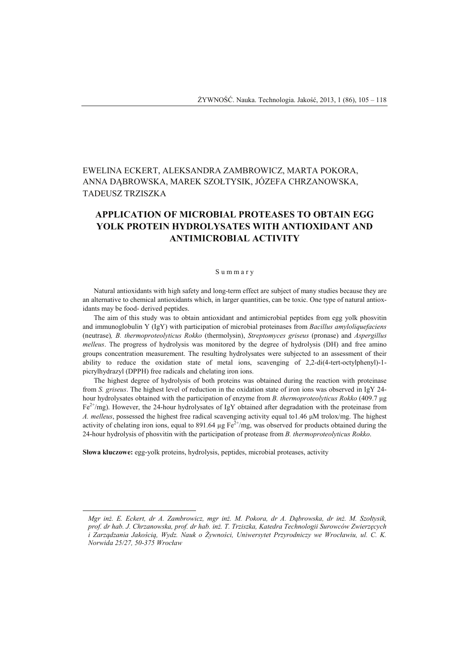# EWELINA ECKERT, ALEKSANDRA ZAMBROWICZ, MARTA POKORA, ANNA DĄBROWSKA, MAREK SZOŁTYSIK, JÓZEFA CHRZANOWSKA, TADEUSZ TRZISZKA

# **APPLICATION OF MICROBIAL PROTEASES TO OBTAIN EGG YOLK PROTEIN HYDROLYSATES WITH ANTIOXIDANT AND ANTIMICROBIAL ACTIVITY**

#### S u m m a r y

Natural antioxidants with high safety and long-term effect are subject of many studies because they are an alternative to chemical antioxidants which, in larger quantities, can be toxic. One type of natural antioxidants may be food- derived peptides.

The aim of this study was to obtain antioxidant and antimicrobial peptides from egg yolk phosvitin and immunoglobulin Y (IgY) with participation of microbial proteinases from *Bacillus amyloliquefaciens*  (neutrase)*, B. thermoproteolyticus Rokko* (thermolysin), *Streptomyces griseus* (pronase) and *Aspergillus melleus*. The progress of hydrolysis was monitored by the degree of hydrolysis (DH) and free amino groups concentration measurement. The resulting hydrolysates were subjected to an assessment of their ability to reduce the oxidation state of metal ions, scavenging of 2,2-di(4-tert-octylphenyl)-1 picrylhydrazyl (DPPH) free radicals and chelating iron ions.

The highest degree of hydrolysis of both proteins was obtained during the reaction with proteinase from *S. griseus*. The highest level of reduction in the oxidation state of iron ions was observed in IgY 24 hour hydrolysates obtained with the participation of enzyme from *B. thermoproteolyticus Rokko* (409.7 μg  $Fe<sup>2+</sup>/mg$ ). However, the 24-hour hydrolysates of IgY obtained after degradation with the proteinase from *A. melleus*, possessed the highest free radical scavenging activity equal to1.46 μM trolox/mg. The highest activity of chelating iron ions, equal to 891.64  $\mu$ g Fe<sup>2+</sup>/mg, was observed for products obtained during the 24-hour hydrolysis of phosvitin with the participation of protease from *B. thermoproteolyticus Rokko*.

**Słowa kluczowe:** egg-yolk proteins, hydrolysis, peptides, microbial proteases, activity

l

*Mgr inż. E. Eckert, dr A. Zambrowicz, mgr inż. M. Pokora, dr A. Dąbrowska, dr inż. M. Szołtysik, prof. dr hab. J. Chrzanowska, prof. dr hab. inż. T. Trziszka, Katedra Technologii Surowców Zwierzęcych i Zarządzania Jakością, Wydz. Nauk o Żywności, Uniwersytet Przyrodniczy we Wrocławiu, ul. C. K. Norwida 25/27, 50-375 Wrocław*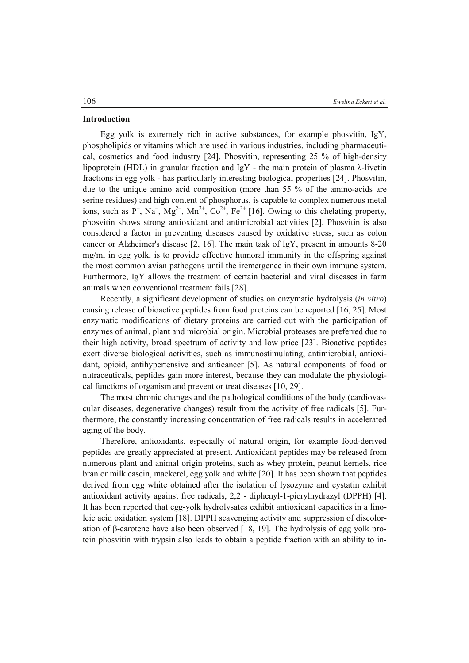#### **Introduction**

Egg yolk is extremely rich in active substances, for example phosvitin, IgY, phospholipids or vitamins which are used in various industries, including pharmaceutical, cosmetics and food industry [24]. Phosvitin, representing 25 % of high-density lipoprotein (HDL) in granular fraction and IgY - the main protein of plasma λ-livetin fractions in egg yolk - has particularly interesting biological properties [24]. Phosvitin, due to the unique amino acid composition (more than 55 % of the amino-acids are serine residues) and high content of phosphorus, is capable to complex numerous metal ions, such as  $P^+$ , Na<sup>+</sup>, Mg<sup>2+</sup>, Mn<sup>2+</sup>, Co<sup>2+</sup>, Fe<sup>3+</sup> [16]. Owing to this chelating property, phosvitin shows strong antioxidant and antimicrobial activities [2]. Phosvitin is also considered a factor in preventing diseases caused by oxidative stress, such as colon cancer or Alzheimer's disease [2, 16]. The main task of IgY, present in amounts 8-20 mg/ml in egg yolk, is to provide effective humoral immunity in the offspring against the most common avian pathogens until the iremergence in their own immune system. Furthermore, IgY allows the treatment of certain bacterial and viral diseases in farm animals when conventional treatment fails [28].

Recently, a significant development of studies on enzymatic hydrolysis (*in vitro*) causing release of bioactive peptides from food proteins can be reported [16, 25]. Most enzymatic modifications of dietary proteins are carried out with the participation of enzymes of animal, plant and microbial origin. Microbial proteases are preferred due to their high activity, broad spectrum of activity and low price [23]. Bioactive peptides exert diverse biological activities, such as immunostimulating, antimicrobial, antioxidant, opioid, antihypertensive and anticancer [5]. As natural components of food or nutraceuticals, peptides gain more interest, because they can modulate the physiological functions of organism and prevent or treat diseases [10, 29].

The most chronic changes and the pathological conditions of the body (cardiovascular diseases, degenerative changes) result from the activity of free radicals [5]. Furthermore, the constantly increasing concentration of free radicals results in accelerated aging of the body.

Therefore, antioxidants, especially of natural origin, for example food-derived peptides are greatly appreciated at present. Antioxidant peptides may be released from numerous plant and animal origin proteins, such as whey protein, peanut kernels, rice bran or milk casein, mackerel, egg yolk and white [20]. It has been shown that peptides derived from egg white obtained after the isolation of lysozyme and cystatin exhibit antioxidant activity against free radicals, 2,2 - diphenyl-1-picrylhydrazyl (DPPH) [4]. It has been reported that egg-yolk hydrolysates exhibit antioxidant capacities in a linoleic acid oxidation system [18]. DPPH scavenging activity and suppression of discoloration of β-carotene have also been observed [18, 19]. The hydrolysis of egg yolk protein phosvitin with trypsin also leads to obtain a peptide fraction with an ability to in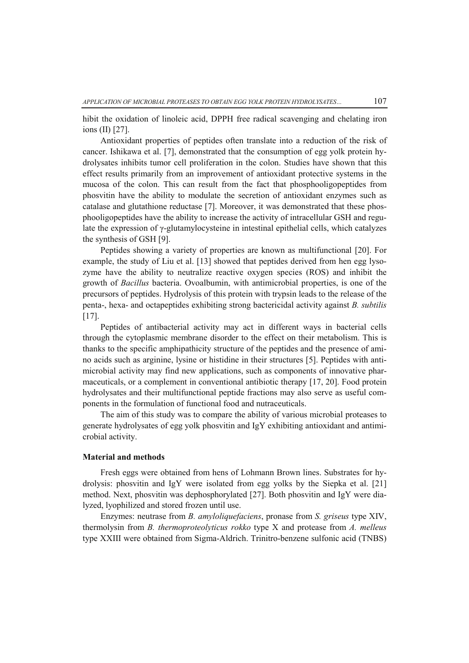hibit the oxidation of linoleic acid, DPPH free radical scavenging and chelating iron ions (II) [27].

Antioxidant properties of peptides often translate into a reduction of the risk of cancer. Ishikawa et al. [7], demonstrated that the consumption of egg yolk protein hydrolysates inhibits tumor cell proliferation in the colon. Studies have shown that this effect results primarily from an improvement of antioxidant protective systems in the mucosa of the colon. This can result from the fact that phosphooligopeptides from phosvitin have the ability to modulate the secretion of antioxidant enzymes such as catalase and glutathione reductase [7]. Moreover, it was demonstrated that these phosphooligopeptides have the ability to increase the activity of intracellular GSH and regulate the expression of γ-glutamylocysteine in intestinal epithelial cells, which catalyzes the synthesis of GSH [9].

Peptides showing a variety of properties are known as multifunctional [20]. For example, the study of Liu et al. [13] showed that peptides derived from hen egg lysozyme have the ability to neutralize reactive oxygen species (ROS) and inhibit the growth of *Bacillus* bacteria. Ovoalbumin, with antimicrobial properties, is one of the precursors of peptides. Hydrolysis of this protein with trypsin leads to the release of the penta-, hexa- and octapeptides exhibiting strong bactericidal activity against *B. subtilis*  [17].

Peptides of antibacterial activity may act in different ways in bacterial cells through the cytoplasmic membrane disorder to the effect on their metabolism. This is thanks to the specific amphipathicity structure of the peptides and the presence of amino acids such as arginine, lysine or histidine in their structures [5]. Peptides with antimicrobial activity may find new applications, such as components of innovative pharmaceuticals, or a complement in conventional antibiotic therapy [17, 20]. Food protein hydrolysates and their multifunctional peptide fractions may also serve as useful components in the formulation of functional food and nutraceuticals.

The aim of this study was to compare the ability of various microbial proteases to generate hydrolysates of egg yolk phosvitin and IgY exhibiting antioxidant and antimicrobial activity.

## **Material and methods**

Fresh eggs were obtained from hens of Lohmann Brown lines. Substrates for hydrolysis: phosvitin and IgY were isolated from egg yolks by the Siepka et al. [21] method. Next, phosvitin was dephosphorylated [27]. Both phosvitin and IgY were dialyzed, lyophilized and stored frozen until use.

Enzymes: neutrase from *B. amyloliquefaciens*, pronase from *S. griseus* type XIV, thermolysin from *B. thermoproteolyticus rokko* type X and protease from *A. melleus* type XXIII were obtained from Sigma-Aldrich. Trinitro-benzene sulfonic acid (TNBS)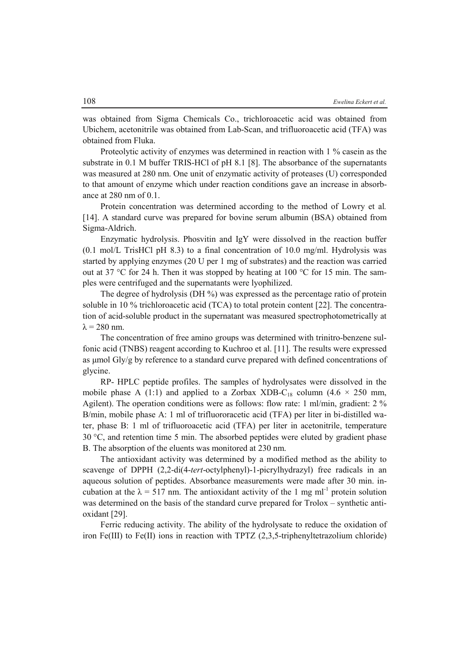was obtained from Sigma Chemicals Co., trichloroacetic acid was obtained from Ubichem, acetonitrile was obtained from Lab-Scan, and trifluoroacetic acid (TFA) was obtained from Fluka.

Proteolytic activity of enzymes was determined in reaction with 1 % casein as the substrate in 0.1 M buffer TRIS-HCl of pH 8.1 [8]. The absorbance of the supernatants was measured at 280 nm. One unit of enzymatic activity of proteases (U) corresponded to that amount of enzyme which under reaction conditions gave an increase in absorbance at 280 nm of 0.1.

Protein concentration was determined according to the method of Lowry et al*.* [14]. A standard curve was prepared for bovine serum albumin (BSA) obtained from Sigma-Aldrich.

Enzymatic hydrolysis. Phosvitin and IgY were dissolved in the reaction buffer  $(0.1 \text{ mol/L}$  TrisHCl pH 8.3) to a final concentration of 10.0 mg/ml. Hydrolysis was started by applying enzymes (20 U per 1 mg of substrates) and the reaction was carried out at 37 °C for 24 h. Then it was stopped by heating at 100 °C for 15 min. The samples were centrifuged and the supernatants were lyophilized.

The degree of hydrolysis (DH %) was expressed as the percentage ratio of protein soluble in 10 % trichloroacetic acid (TCA) to total protein content [22]. The concentration of acid-soluble product in the supernatant was measured spectrophotometrically at  $\lambda$  = 280 nm.

The concentration of free amino groups was determined with trinitro-benzene sulfonic acid (TNBS) reagent according to Kuchroo et al. [11]. The results were expressed as μmol Gly/g by reference to a standard curve prepared with defined concentrations of glycine.

RP- HPLC peptide profiles. The samples of hydrolysates were dissolved in the mobile phase A (1:1) and applied to a Zorbax XDB-C<sub>18</sub> column (4.6  $\times$  250 mm, Agilent). The operation conditions were as follows: flow rate: 1 ml/min, gradient: 2 % B/min, mobile phase A: 1 ml of trifluororacetic acid (TFA) per liter in bi-distilled water, phase B: 1 ml of trifluoroacetic acid (TFA) per liter in acetonitrile, temperature  $30^{\circ}$ C, and retention time 5 min. The absorbed peptides were eluted by gradient phase B. The absorption of the eluents was monitored at 230 nm.

The antioxidant activity was determined by a modified method as the ability to scavenge of DPPH (2,2-di(4-*tert*-octylphenyl)-1-picrylhydrazyl) free radicals in an aqueous solution of peptides. Absorbance measurements were made after 30 min. incubation at the  $\lambda = 517$  nm. The antioxidant activity of the 1 mg ml<sup>-1</sup> protein solution was determined on the basis of the standard curve prepared for Trolox – synthetic antioxidant [29].

Ferric reducing activity. The ability of the hydrolysate to reduce the oxidation of iron Fe(III) to Fe(III) ions in reaction with TPTZ  $(2,3,5)$ -triphenyltetrazolium chloride)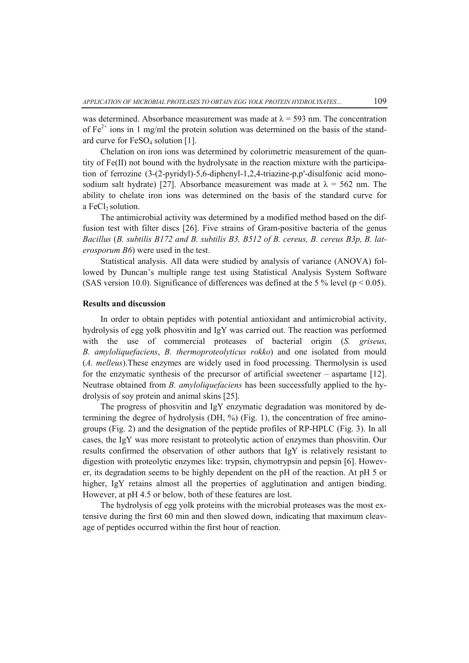was determined. Absorbance measurement was made at  $\lambda$  = 593 nm. The concentration of  $Fe^{2+}$  ions in 1 mg/ml the protein solution was determined on the basis of the standard curve for FeSO<sub>4</sub> solution [1].

Chelation on iron ions was determined by colorimetric measurement of the quantity of  $Fe(II)$  not bound with the hydrolysate in the reaction mixture with the participation of ferrozine (3-(2-pyridyl)-5,6-diphenyl-1,2,4-triazine-p,p′-disulfonic acid monosodium salt hydrate) [27]. Absorbance measurement was made at  $\lambda = 562$  nm. The ability to chelate iron ions was determined on the basis of the standard curve for a FeCl $_2$  solution.

The antimicrobial activity was determined by a modified method based on the diffusion test with filter discs [26]. Five strains of Gram-positive bacteria of the genus *Bacillus* (*B. subtilis B172 and B. subtilis B3, B512 of B. cereus, B. cereus B3p, B. laterosporum B6*) were used in the test.

Statistical analysis. All data were studied by analysis of variance (ANOVA) followed by Duncan's multiple range test using Statistical Analysis System Software (SAS version 10.0). Significance of differences was defined at the 5 % level ( $p < 0.05$ ).

## **Results and discussion**

In order to obtain peptides with potential antioxidant and antimicrobial activity, hydrolysis of egg yolk phosvitin and IgY was carried out. The reaction was performed with the use of commercial proteases of bacterial origin (*S. griseus*, *B. amyloliquefaciens*, *B. thermoproteolyticus rokko*) and one isolated from mould (*A. melleus*).These enzymes are widely used in food processing. Thermolysin is used for the enzymatic synthesis of the precursor of artificial sweetener – aspartame [12]. Neutrase obtained from *B. amyloliquefaciens* has been successfully applied to the hydrolysis of soy protein and animal skins [25].

The progress of phosvitin and IgY enzymatic degradation was monitored by determining the degree of hydrolysis  $(DH, %)$  (Fig. 1), the concentration of free aminogroups (Fig. 2) and the designation of the peptide profiles of RP-HPLC (Fig. 3). In all cases, the IgY was more resistant to proteolytic action of enzymes than phosvitin. Our results confirmed the observation of other authors that IgY is relatively resistant to digestion with proteolytic enzymes like: trypsin, chymotrypsin and pepsin [6]. However, its degradation seems to be highly dependent on the pH of the reaction. At pH 5 or higher, IgY retains almost all the properties of agglutination and antigen binding. However, at pH 4.5 or below, both of these features are lost.

The hydrolysis of egg yolk proteins with the microbial proteases was the most extensive during the first 60 min and then slowed down, indicating that maximum cleavage of peptides occurred within the first hour of reaction.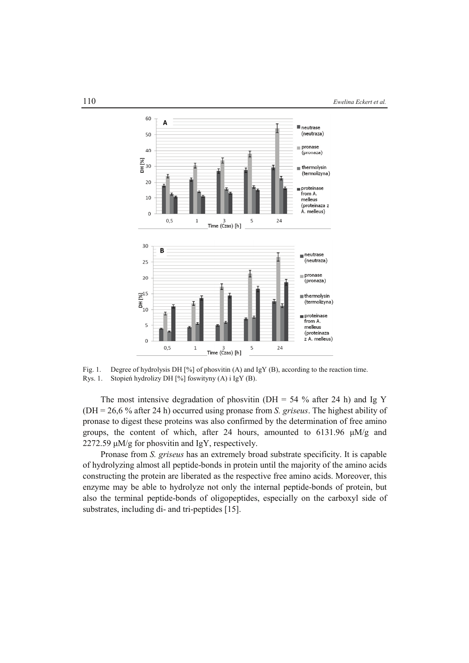

Fig. 1. Degree of hydrolysis DH [%] of phosvitin (A) and IgY (B), according to the reaction time. Rys. 1. Stopień hydrolizy DH [%] foswityny (A) i IgY (B).

The most intensive degradation of phosvitin (DH =  $54\%$  after 24 h) and Ig Y (DH = 26,6 % after 24 h) occurred using pronase from *S. griseus*. The highest ability of pronase to digest these proteins was also confirmed by the determination of free amino groups, the content of which, after 24 hours, amounted to  $6131.96 \mu M/g$  and 2272.59 μM/g for phosvitin and IgY, respectively.

Pronase from *S. griseus* has an extremely broad substrate specificity. It is capable of hydrolyzing almost all peptide-bonds in protein until the majority of the amino acids constructing the protein are liberated as the respective free amino acids. Moreover, this enzyme may be able to hydrolyze not only the internal peptide-bonds of protein, but also the terminal peptide-bonds of oligopeptides, especially on the carboxyl side of substrates, including di- and tri-peptides [15].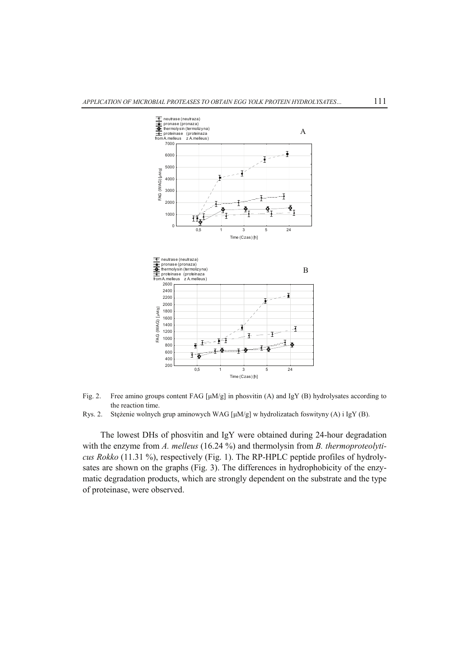

Fig. 2. Free amino groups content FAG [μM/g] in phosvitin (A) and IgY (B) hydrolysates according to the reaction time.

The lowest DHs of phosvitin and IgY were obtained during 24-hour degradation with the enzyme from *A. melleus* (16.24 %) and thermolysin from *B. thermoproteolyticus Rokko* (11.31 %), respectively (Fig. 1). The RP-HPLC peptide profiles of hydrolysates are shown on the graphs (Fig. 3). The differences in hydrophobicity of the enzymatic degradation products, which are strongly dependent on the substrate and the type of proteinase, were observed.

Rys. 2. Stężenie wolnych grup aminowych WAG [μM/g] w hydrolizatach foswityny (A) i IgY (B).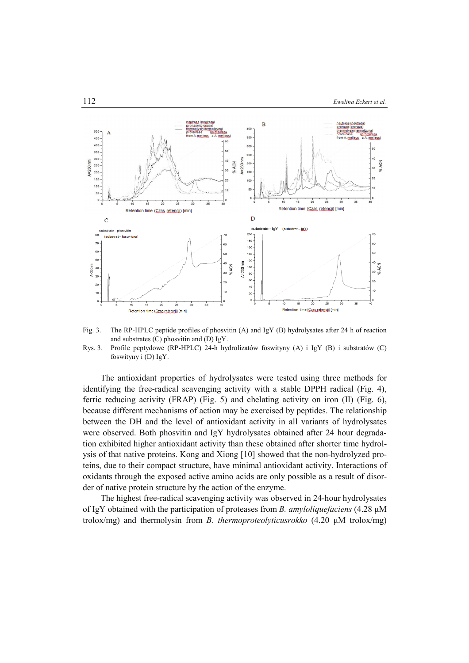

Fig. 3. The RP-HPLC peptide profiles of phosvitin (A) and IgY (B) hydrolysates after 24 h of reaction and substrates (C) phosvitin and (D) IgY.

Rys. 3. Profile peptydowe (RP-HPLC) 24-h hydrolizatów foswityny (A) i IgY (B) i substratów (C) foswityny i (D) IgY.

The antioxidant properties of hydrolysates were tested using three methods for identifying the free-radical scavenging activity with a stable DPPH radical (Fig. 4), ferric reducing activity (FRAP) (Fig. 5) and chelating activity on iron (II) (Fig. 6), because different mechanisms of action may be exercised by peptides. The relationship between the DH and the level of antioxidant activity in all variants of hydrolysates were observed. Both phosvitin and IgY hydrolysates obtained after 24 hour degradation exhibited higher antioxidant activity than these obtained after shorter time hydrolysis of that native proteins. Kong and Xiong [10] showed that the non-hydrolyzed proteins, due to their compact structure, have minimal antioxidant activity. Interactions of oxidants through the exposed active amino acids are only possible as a result of disorder of native protein structure by the action of the enzyme.

The highest free-radical scavenging activity was observed in 24-hour hydrolysates of IgY obtained with the participation of proteases from *B. amyloliquefaciens* (4.28 μM trolox/mg) and thermolysin from *B. thermoproteolyticusrokko* (4.20 μM trolox/mg)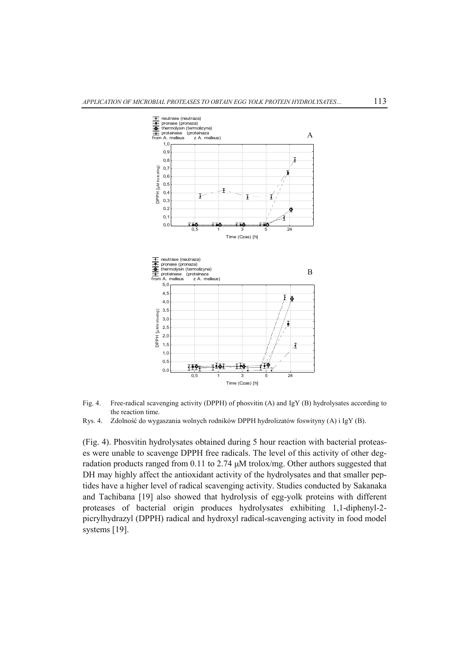



Rys. 4. Zdolność do wygaszania wolnych rodników DPPH hydrolizatów foswityny (A) i IgY (B).

(Fig. 4). Phosvitin hydrolysates obtained during 5 hour reaction with bacterial proteases were unable to scavenge DPPH free radicals. The level of this activity of other degradation products ranged from 0.11 to 2.74 μM trolox/mg. Other authors suggested that DH may highly affect the antioxidant activity of the hydrolysates and that smaller peptides have a higher level of radical scavenging activity. Studies conducted by Sakanaka and Tachibana [19] also showed that hydrolysis of egg-yolk proteins with different proteases of bacterial origin produces hydrolysates exhibiting 1,1-diphenyl-2 picrylhydrazyl (DPPH) radical and hydroxyl radical-scavenging activity in food model systems [19].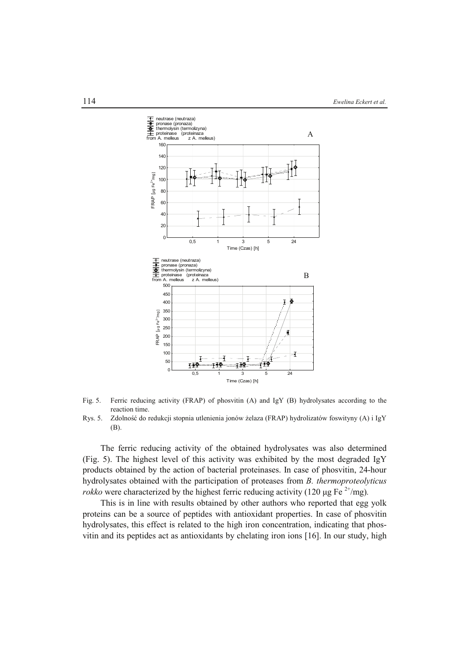

- Fig. 5. Ferric reducing activity (FRAP) of phosvitin (A) and IgY (B) hydrolysates according to the reaction time.
- Rys. 5. Zdolność do redukcji stopnia utlenienia jonów żelaza (FRAP) hydrolizatów foswityny (A) i IgY (B).

The ferric reducing activity of the obtained hydrolysates was also determined (Fig. 5). The highest level of this activity was exhibited by the most degraded IgY products obtained by the action of bacterial proteinases. In case of phosvitin, 24-hour hydrolysates obtained with the participation of proteases from *B. thermoproteolyticus rokko* were characterized by the highest ferric reducing activity (120 μg Fe<sup>2+</sup>/mg).

This is in line with results obtained by other authors who reported that egg yolk proteins can be a source of peptides with antioxidant properties. In case of phosvitin hydrolysates, this effect is related to the high iron concentration, indicating that phosvitin and its peptides act as antioxidants by chelating iron ions [16]. In our study, high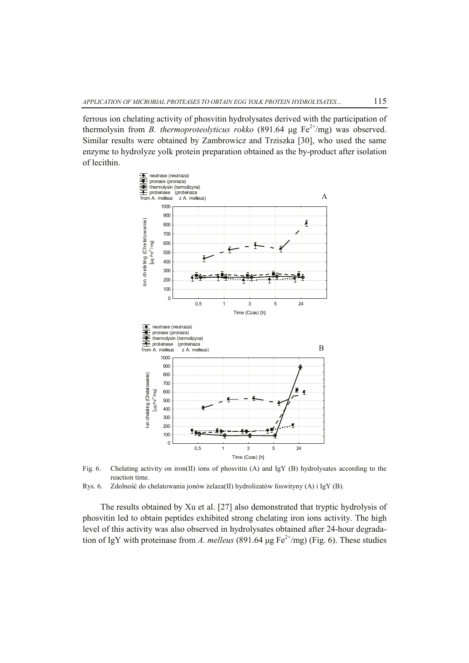ferrous ion chelating activity of phosvitin hydrolysates derived with the participation of thermolysin from *B. thermoproteolyticus rokko* (891.64 μg  $Fe^{2+}/mg$ ) was observed. Similar results were obtained by Zambrowicz and Trziszka [30], who used the same enzyme to hydrolyze yolk protein preparation obtained as the by-product after isolation of lecithin.



Fig. 6. Chelating activity on iron(II) ions of phosvitin (A) and IgY (B) hydrolysates according to the reaction time.

The results obtained by Xu et al. [27] also demonstrated that tryptic hydrolysis of phosvitin led to obtain peptides exhibited strong chelating iron ions activity. The high level of this activity was also observed in hydrolysates obtained after 24-hour degradation of IgY with proteinase from *A. melleus* (891.64  $\mu$ g Fe<sup>2+</sup>/mg) (Fig. 6). These studies

Rys. 6. Zdolność do chelatowania jonów żelaza(II) hydrolizatów foswityny (A) i IgY (B).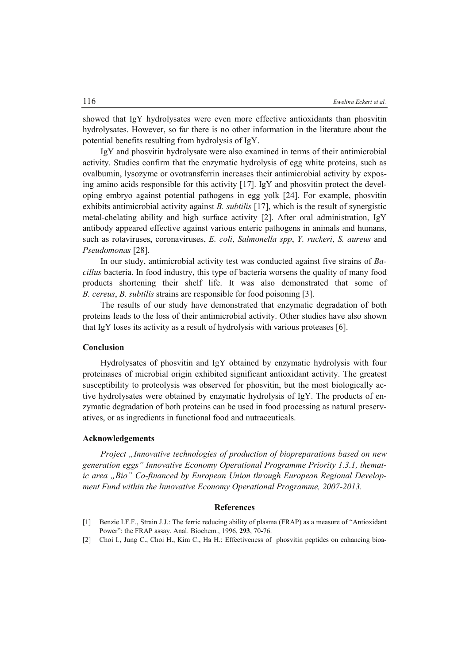showed that IgY hydrolysates were even more effective antioxidants than phosvitin hydrolysates. However, so far there is no other information in the literature about the potential benefits resulting from hydrolysis of IgY.

IgY and phosvitin hydrolysate were also examined in terms of their antimicrobial activity. Studies confirm that the enzymatic hydrolysis of egg white proteins, such as ovalbumin, lysozyme or ovotransferrin increases their antimicrobial activity by exposing amino acids responsible for this activity [17]. IgY and phosvitin protect the developing embryo against potential pathogens in egg yolk [24]. For example, phosvitin exhibits antimicrobial activity against *B. subtilis* [17], which is the result of synergistic metal-chelating ability and high surface activity [2]. After oral administration, IgY antibody appeared effective against various enteric pathogens in animals and humans, such as rotaviruses, coronaviruses, *E. coli*, *Salmonella spp*, *Y. ruckeri*, *S. aureus* and *Pseudomonas* [28].

In our study, antimicrobial activity test was conducted against five strains of *Bacillus* bacteria. In food industry, this type of bacteria worsens the quality of many food products shortening their shelf life. It was also demonstrated that some of *B. cereus*, *B. subtilis* strains are responsible for food poisoning [3].

The results of our study have demonstrated that enzymatic degradation of both proteins leads to the loss of their antimicrobial activity. Other studies have also shown that IgY loses its activity as a result of hydrolysis with various proteases [6].

## **Conclusion**

Hydrolysates of phosvitin and IgY obtained by enzymatic hydrolysis with four proteinases of microbial origin exhibited significant antioxidant activity. The greatest susceptibility to proteolysis was observed for phosvitin, but the most biologically active hydrolysates were obtained by enzymatic hydrolysis of IgY. The products of enzymatic degradation of both proteins can be used in food processing as natural preservatives, or as ingredients in functional food and nutraceuticals.

#### **Acknowledgements**

*Project "Innovative technologies of production of biopreparations based on new generation eggs" Innovative Economy Operational Programme Priority 1.3.1, themat*ic area "Bio" Co-financed by European Union through European Regional Develop*ment Fund within the Innovative Economy Operational Programme, 2007-2013.* 

#### **References**

- [1] Benzie I.F.F., Strain J.J.: The ferric reducing ability of plasma (FRAP) as a measure of "Antioxidant Power": the FRAP assay. Anal. Biochem., 1996, **293**, 70-76.
- [2] Choi I., Jung C., Choi H., Kim C., Ha H.: Effectiveness of phosvitin peptides on enhancing bioa-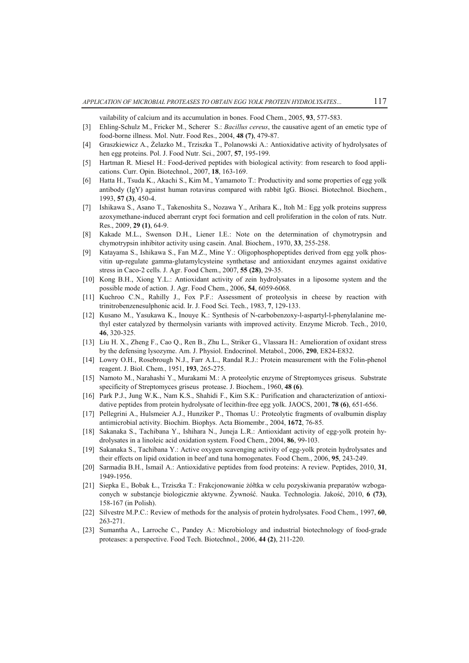vailability of calcium and its accumulation in bones. Food Chem., 2005, **93**, 577-583.

- [3] Ehling-Schulz M., Fricker M., Scherer S.: *Bacillus cereus*, the causative agent of an emetic type of food-borne illness. Mol. Nutr. Food Res., 2004, **48 (7)**, 479-87.
- [4] Graszkiewicz A., Żelazko M., Trziszka T., Polanowski A.: Antioxidative activity of hydrolysates of hen egg proteins. Pol. J. Food Nutr. Sci., 2007, **57**, 195-199.
- [5] Hartman R. Miesel H.: Food-derived peptides with biological activity: from research to food applications. Curr. Opin. Biotechnol., 2007, **18**, 163-169.
- [6] Hatta H., Tsuda K., Akachi S., Kim M., Yamamoto T.: Productivity and some properties of egg yolk antibody (IgY) against human rotavirus compared with rabbit IgG. Biosci. Biotechnol. Biochem., 1993, **57 (3)**, 450-4.
- [7] Ishikawa S., Asano T., Takenoshita S., Nozawa Y., Arihara K., Itoh M.: Egg yolk proteins suppress azoxymethane-induced aberrant crypt foci formation and cell proliferation in the colon of rats. Nutr. Res., 2009, **29 (1)**, 64-9.
- [8] Kakade M.L., Swenson D.H., Liener I.E.: Note on the determination of chymotrypsin and chymotrypsin inhibitor activity using casein. Anal. Biochem., 1970, **33**, 255-258.
- [9] Katayama S., Ishikawa S., Fan M.Z., Mine Y.: Oligophosphopeptides derived from egg yolk phosvitin up-regulate gamma-glutamylcysteine synthetase and antioxidant enzymes against oxidative stress in Caco-2 cells. J. Agr. Food Chem., 2007, **55 (28)**, 29-35.
- [10] Kong B.H., Xiong Y.L.: Antioxidant activity of zein hydrolysates in a liposome system and the possible mode of action. J. Agr. Food Chem., 2006, **54**, 6059-6068.
- [11] Kuchroo C.N., Rahilly J., Fox P.F.: Assessment of proteolysis in cheese by reaction with trinitrobenzenesulphonic acid. Ir. J. Food Sci. Tech., 1983, **7**, 129-133.
- [12] Kusano M., Yasukawa K., Inouye K.: Synthesis of N-carbobenzoxy-l-aspartyl-l-phenylalanine methyl ester catalyzed by thermolysin variants with improved activity. Enzyme Microb. Tech., 2010, **46**, 320-325.
- [13] Liu H. X., Zheng F., Cao Q., Ren B., Zhu L., Striker G., Vlassara H.: Amelioration of oxidant stress by the defensing lysozyme. Am. J. Physiol. Endocrinol. Metabol., 2006, **290**, E824-E832.
- [14] Lowry O.H., Rosebrough N.J., Farr A.L., Randal R.J.: Protein measurement with the Folin-phenol reagent. J. Biol. Chem., 1951, **193**, 265-275.
- [15] Namoto M., Narahashi Y., Murakami M.: A proteolytic enzyme of Streptomyces griseus. Substrate specificity of Streptomyces griseus protease. J. Biochem., 1960, **48 (6)**.
- [16] Park P.J., Jung W.K., Nam K.S., Shahidi F., Kim S.K.: Purification and characterization of antioxidative peptides from protein hydrolysate of lecithin-free egg yolk. JAOCS, 2001, **78 (6)**, 651-656.
- [17] Pellegrini A., Hulsmeier A.J., Hunziker P., Thomas U.: Proteolytic fragments of ovalbumin display antimicrobial activity. Biochim. Biophys. Acta Biomembr., 2004, **1672**, 76-85.
- [18] Sakanaka S., Tachibana Y., Ishihara N., Juneja L.R.: Antioxidant activity of egg-yolk protein hydrolysates in a linoleic acid oxidation system. Food Chem., 2004, **86**, 99-103.
- [19] Sakanaka S., Tachibana Y.: Active oxygen scavenging activity of egg-yolk protein hydrolysates and their effects on lipid oxidation in beef and tuna homogenates. Food Chem., 2006, **95**, 243-249.
- [20] Sarmadia B.H., Ismail A.: Antioxidative peptides from food proteins: A review. Peptides, 2010, **31**, 1949-1956.
- [21] Siepka E., Bobak Ł., Trziszka T.: Frakcjonowanie żółtka w celu pozyskiwania preparatów wzbogaconych w substancje biologicznie aktywne. Żywność. Nauka. Technologia. Jakość, 2010, **6 (73)**, 158-167 (in Polish).
- [22] Silvestre M.P.C.: Review of methods for the analysis of protein hydrolysates. Food Chem., 1997, **60**, 263-271.
- [23] Sumantha A., Larroche C., Pandey A.: Microbiology and industrial biotechnology of food-grade proteases: a perspective. Food Tech. Biotechnol., 2006, **44 (2)**, 211-220.